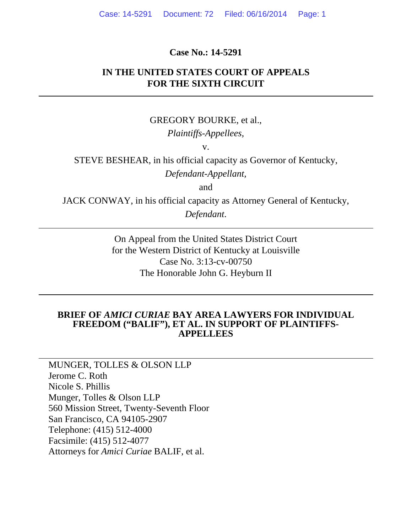#### **Case No.: 14-5291**

### **IN THE UNITED STATES COURT OF APPEALS FOR THE SIXTH CIRCUIT**

#### GREGORY BOURKE, et al.,

#### *Plaintiffs-Appellees,*

v.

STEVE BESHEAR, in his official capacity as Governor of Kentucky, *Defendant-Appellant,* 

and

JACK CONWAY, in his official capacity as Attorney General of Kentucky, *Defendant*.

> On Appeal from the United States District Court for the Western District of Kentucky at Louisville Case No. 3:13-cv-00750 The Honorable John G. Heyburn II

#### **BRIEF OF** *AMICI CURIAE* **BAY AREA LAWYERS FOR INDIVIDUAL FREEDOM ("BALIF"), ET AL. IN SUPPORT OF PLAINTIFFS-APPELLEES**

MUNGER, TOLLES & OLSON LLP Jerome C. Roth Nicole S. Phillis Munger, Tolles & Olson LLP 560 Mission Street, Twenty-Seventh Floor San Francisco, CA 94105-2907 Telephone: (415) 512-4000 Facsimile: (415) 512-4077 Attorneys for *Amici Curiae* BALIF, et al.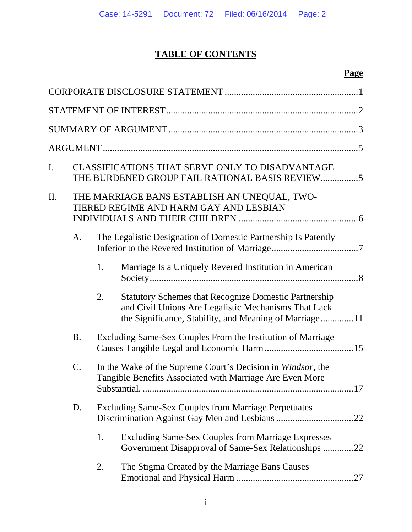# **TABLE OF CONTENTS**

# **Page**

| I. |                                                                                        |    | CLASSIFICATIONS THAT SERVE ONLY TO DISADVANTAGE<br>THE BURDENED GROUP FAIL RATIONAL BASIS REVIEW5                                                                              |
|----|----------------------------------------------------------------------------------------|----|--------------------------------------------------------------------------------------------------------------------------------------------------------------------------------|
| П. | THE MARRIAGE BANS ESTABLISH AN UNEQUAL, TWO-<br>TIERED REGIME AND HARM GAY AND LESBIAN |    |                                                                                                                                                                                |
|    | A.                                                                                     |    | The Legalistic Designation of Domestic Partnership Is Patently                                                                                                                 |
|    |                                                                                        | 1. | Marriage Is a Uniquely Revered Institution in American                                                                                                                         |
|    |                                                                                        | 2. | <b>Statutory Schemes that Recognize Domestic Partnership</b><br>and Civil Unions Are Legalistic Mechanisms That Lack<br>the Significance, Stability, and Meaning of Marriage11 |
|    | <b>B.</b>                                                                              |    | Excluding Same-Sex Couples From the Institution of Marriage                                                                                                                    |
|    | C.                                                                                     |    | In the Wake of the Supreme Court's Decision in Windsor, the<br>Tangible Benefits Associated with Marriage Are Even More                                                        |
|    | D.                                                                                     |    | <b>Excluding Same-Sex Couples from Marriage Perpetuates</b>                                                                                                                    |
|    |                                                                                        | 1. | <b>Excluding Same-Sex Couples from Marriage Expresses</b><br>Government Disapproval of Same-Sex Relationships 22                                                               |
|    |                                                                                        | 2. | The Stigma Created by the Marriage Bans Causes                                                                                                                                 |
|    |                                                                                        |    |                                                                                                                                                                                |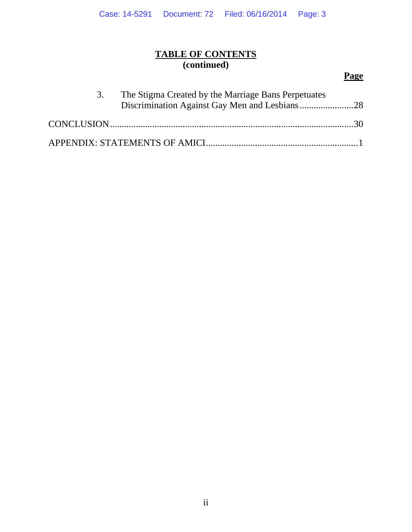# **TABLE OF CONTENTS (continued)**

# **Page**

| 3. | The Stigma Created by the Marriage Bans Perpetuates |  |
|----|-----------------------------------------------------|--|
|    |                                                     |  |
|    |                                                     |  |
|    |                                                     |  |
|    |                                                     |  |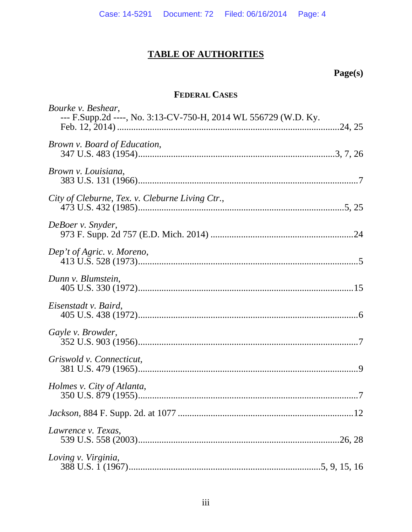# **TABLE OF AUTHORITIES**

# Page(s)

# **FEDERAL CASES**

| Bourke v. Beshear,<br>--- F.Supp.2d ----, No. 3:13-CV-750-H, 2014 WL 556729 (W.D. Ky. |
|---------------------------------------------------------------------------------------|
|                                                                                       |
| Brown v. Board of Education,                                                          |
| Brown v. Louisiana,                                                                   |
| City of Cleburne, Tex. v. Cleburne Living Ctr.,                                       |
| DeBoer v. Snyder,                                                                     |
| Dep't of Agric. v. Moreno,                                                            |
| Dunn v. Blumstein,                                                                    |
| Eisenstadt v. Baird,                                                                  |
| Gayle v. Browder,                                                                     |
| Griswold v. Connecticut,                                                              |
| Holmes v. City of Atlanta,                                                            |
|                                                                                       |
| Lawrence v. Texas,                                                                    |
| Loving v. Virginia,                                                                   |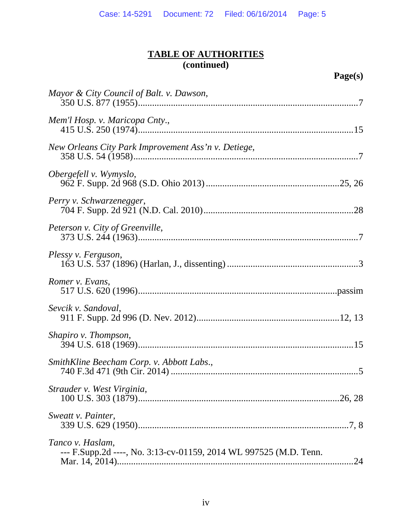| Mayor & City Council of Balt. v. Dawson,                                              |
|---------------------------------------------------------------------------------------|
| Mem'l Hosp. v. Maricopa Cnty.,                                                        |
| New Orleans City Park Improvement Ass'n v. Detiege,                                   |
| Obergefell v. Wymyslo,                                                                |
| Perry v. Schwarzenegger,                                                              |
| Peterson v. City of Greenville,                                                       |
| Plessy v. Ferguson,                                                                   |
| Romer v. Evans,                                                                       |
| Sevcik v. Sandoval,                                                                   |
| Shapiro v. Thompson,                                                                  |
| SmithKline Beecham Corp. v. Abbott Labs.,                                             |
| Strauder v. West Virginia,                                                            |
| Sweatt v. Painter,                                                                    |
| Tanco v. Haslam,<br>--- F.Supp.2d ----, No. 3:13-cv-01159, 2014 WL 997525 (M.D. Tenn. |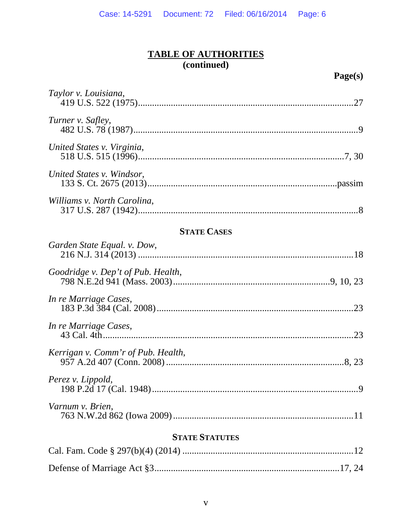| Taylor v. Louisiana,               |
|------------------------------------|
| Turner v. Safley,                  |
| United States v. Virginia,         |
| United States v. Windsor,          |
| Williams v. North Carolina,        |
| <b>STATE CASES</b>                 |
| Garden State Equal. v. Dow,        |
| Goodridge v. Dep't of Pub. Health, |
| In re Marriage Cases,              |

| $\mu$ is the internet cases,       |  |
|------------------------------------|--|
| In re Marriage Cases,              |  |
| Kerrigan v. Comm'r of Pub. Health, |  |

| Perez v. Lippold, |  |
|-------------------|--|
| Varnum v. Brien,  |  |

# **STATE STATUTES**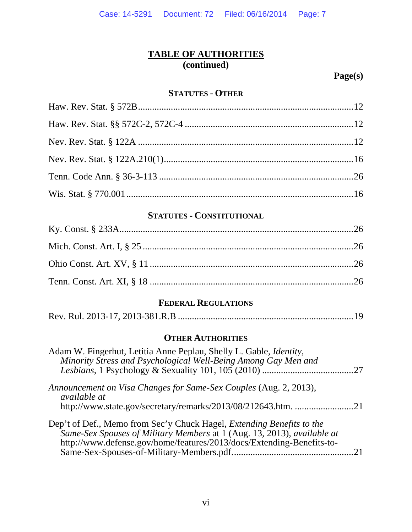**Page(s)** 

#### **STATUTES - OTHER**

## **STATUTES - CONSTITUTIONAL**

# **FEDERAL REGULATIONS**

|--|--|

## **OTHER AUTHORITIES**

| Adam W. Fingerhut, Letitia Anne Peplau, Shelly L. Gable, <i>Identity</i> ,<br>Minority Stress and Psychological Well-Being Among Gay Men and                                                                                     |  |
|----------------------------------------------------------------------------------------------------------------------------------------------------------------------------------------------------------------------------------|--|
|                                                                                                                                                                                                                                  |  |
| Announcement on Visa Changes for Same-Sex Couples (Aug. 2, 2013),<br><i>available at</i>                                                                                                                                         |  |
| http://www.state.gov/secretary/remarks/2013/08/212643.htm. 21                                                                                                                                                                    |  |
| Dep't of Def., Memo from Sec'y Chuck Hagel, <i>Extending Benefits to the</i><br>Same-Sex Spouses of Military Members at 1 (Aug. 13, 2013), available at<br>http://www.defense.gov/home/features/2013/docs/Extending-Benefits-to- |  |
|                                                                                                                                                                                                                                  |  |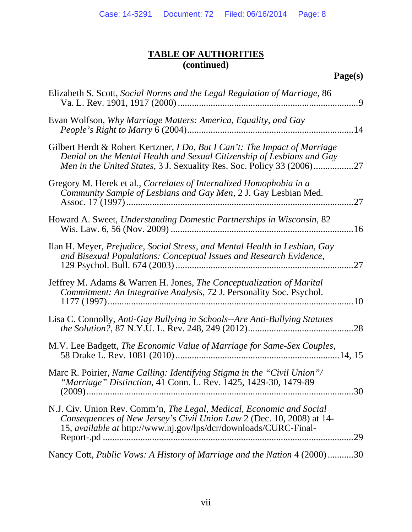| Elizabeth S. Scott, Social Norms and the Legal Regulation of Marriage, 86<br>$\cdot$ 9                                                                                                                                               |
|--------------------------------------------------------------------------------------------------------------------------------------------------------------------------------------------------------------------------------------|
| Evan Wolfson, Why Marriage Matters: America, Equality, and Gay                                                                                                                                                                       |
| Gilbert Herdt & Robert Kertzner, <i>I Do, But I Can't: The Impact of Marriage</i><br>Denial on the Mental Health and Sexual Citizenship of Lesbians and Gay<br>Men in the United States, 3 J. Sexuality Res. Soc. Policy 33 (2006)27 |
| Gregory M. Herek et al., Correlates of Internalized Homophobia in a<br>Community Sample of Lesbians and Gay Men, 2 J. Gay Lesbian Med.<br>.27                                                                                        |
| Howard A. Sweet, Understanding Domestic Partnerships in Wisconsin, 82                                                                                                                                                                |
| Ilan H. Meyer, Prejudice, Social Stress, and Mental Health in Lesbian, Gay<br>and Bisexual Populations: Conceptual Issues and Research Evidence,<br>27                                                                               |
| Jeffrey M. Adams & Warren H. Jones, <i>The Conceptualization of Marital</i><br>Commitment: An Integrative Analysis, 72 J. Personality Soc. Psychol.<br>.10                                                                           |
| Lisa C. Connolly, Anti-Gay Bullying in Schools--Are Anti-Bullying Statutes<br>.28                                                                                                                                                    |
| M.V. Lee Badgett, The Economic Value of Marriage for Same-Sex Couples,                                                                                                                                                               |
| Marc R. Poirier, Name Calling: Identifying Stigma in the "Civil Union"/<br>"Marriage" Distinction, 41 Conn. L. Rev. 1425, 1429-30, 1479-89                                                                                           |
| N.J. Civ. Union Rev. Comm'n, The Legal, Medical, Economic and Social<br>Consequences of New Jersey's Civil Union Law 2 (Dec. 10, 2008) at 14-<br>15, available at http://www.nj.gov/lps/dcr/downloads/CURC-Final-<br>.29             |
| Nancy Cott, Public Vows: A History of Marriage and the Nation 4 (2000)30                                                                                                                                                             |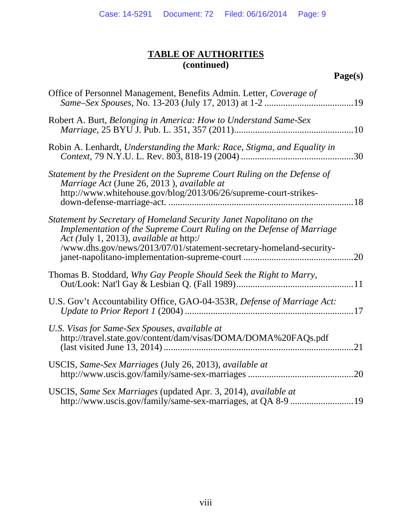| Office of Personnel Management, Benefits Admin. Letter, Coverage of                                                                                                                                                                                            |
|----------------------------------------------------------------------------------------------------------------------------------------------------------------------------------------------------------------------------------------------------------------|
| Robert A. Burt, Belonging in America: How to Understand Same-Sex                                                                                                                                                                                               |
| Robin A. Lenhardt, Understanding the Mark: Race, Stigma, and Equality in                                                                                                                                                                                       |
| Statement by the President on the Supreme Court Ruling on the Defense of<br>Marriage Act (June 26, 2013), available at<br>http://www.whitehouse.gov/blog/2013/06/26/supreme-court-strikes-                                                                     |
| Statement by Secretary of Homeland Security Janet Napolitano on the<br>Implementation of the Supreme Court Ruling on the Defense of Marriage<br>Act (July 1, 2013), available at http:/<br>/www.dhs.gov/news/2013/07/01/statement-secretary-homeland-security- |
| Thomas B. Stoddard, Why Gay People Should Seek the Right to Marry,                                                                                                                                                                                             |
| U.S. Gov't Accountability Office, GAO-04-353R, Defense of Marriage Act:                                                                                                                                                                                        |
| U.S. Visas for Same-Sex Spouses, available at<br>http://travel.state.gov/content/dam/visas/DOMA/DOMA%20FAQs.pdf                                                                                                                                                |
| USCIS, Same-Sex Marriages (July 26, 2013), available at<br>.20                                                                                                                                                                                                 |
| USCIS, Same Sex Marriages (updated Apr. 3, 2014), available at                                                                                                                                                                                                 |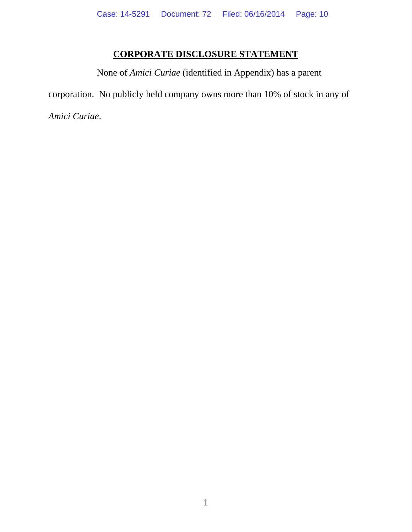# **CORPORATE DISCLOSURE STATEMENT**

None of *Amici Curiae* (identified in Appendix) has a parent corporation. No publicly held company owns more than 10% of stock in any of *Amici Curiae*.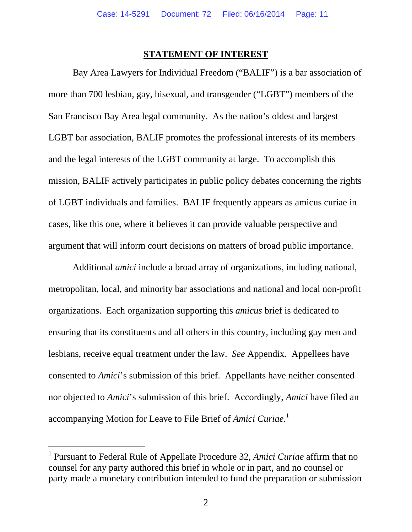#### **STATEMENT OF INTEREST**

Bay Area Lawyers for Individual Freedom ("BALIF") is a bar association of more than 700 lesbian, gay, bisexual, and transgender ("LGBT") members of the San Francisco Bay Area legal community. As the nation's oldest and largest LGBT bar association, BALIF promotes the professional interests of its members and the legal interests of the LGBT community at large. To accomplish this mission, BALIF actively participates in public policy debates concerning the rights of LGBT individuals and families. BALIF frequently appears as amicus curiae in cases, like this one, where it believes it can provide valuable perspective and argument that will inform court decisions on matters of broad public importance.

Additional *amici* include a broad array of organizations, including national, metropolitan, local, and minority bar associations and national and local non-profit organizations. Each organization supporting this *amicus* brief is dedicated to ensuring that its constituents and all others in this country, including gay men and lesbians, receive equal treatment under the law. *See* Appendix. Appellees have consented to *Amici*'s submission of this brief. Appellants have neither consented nor objected to *Amici*'s submission of this brief. Accordingly, *Amici* have filed an accompanying Motion for Leave to File Brief of *Amici Curiae*. 1

 $\overline{a}$ 

<sup>&</sup>lt;sup>1</sup> Pursuant to Federal Rule of Appellate Procedure 32, *Amici Curiae* affirm that no counsel for any party authored this brief in whole or in part, and no counsel or party made a monetary contribution intended to fund the preparation or submission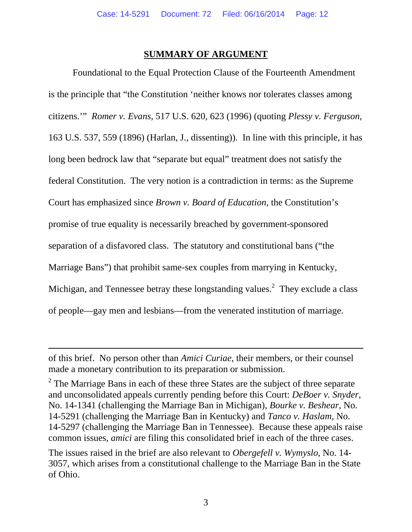#### **SUMMARY OF ARGUMENT**

Foundational to the Equal Protection Clause of the Fourteenth Amendment is the principle that "the Constitution 'neither knows nor tolerates classes among citizens.'" *Romer v. Evans*, 517 U.S. 620, 623 (1996) (quoting *Plessy v. Ferguson*, 163 U.S. 537, 559 (1896) (Harlan, J., dissenting)). In line with this principle, it has long been bedrock law that "separate but equal" treatment does not satisfy the federal Constitution. The very notion is a contradiction in terms: as the Supreme Court has emphasized since *Brown v. Board of Education*, the Constitution's promise of true equality is necessarily breached by government-sponsored separation of a disfavored class. The statutory and constitutional bans ("the Marriage Bans") that prohibit same-sex couples from marrying in Kentucky, Michigan, and Tennessee betray these longstanding values.<sup>2</sup> They exclude a class of people—gay men and lesbians—from the venerated institution of marriage.

-

of this brief. No person other than *Amici Curiae*, their members, or their counsel made a monetary contribution to its preparation or submission.

 $2^2$  The Marriage Bans in each of these three States are the subject of three separate and unconsolidated appeals currently pending before this Court: *DeBoer v. Snyder*, No. 14-1341 (challenging the Marriage Ban in Michigan), *Bourke v. Beshear*, No. 14-5291 (challenging the Marriage Ban in Kentucky) and *Tanco v. Haslam*, No. 14-5297 (challenging the Marriage Ban in Tennessee). Because these appeals raise common issues, *amici* are filing this consolidated brief in each of the three cases.

The issues raised in the brief are also relevant to *Obergefell v. Wymyslo*, No. 14- 3057, which arises from a constitutional challenge to the Marriage Ban in the State of Ohio.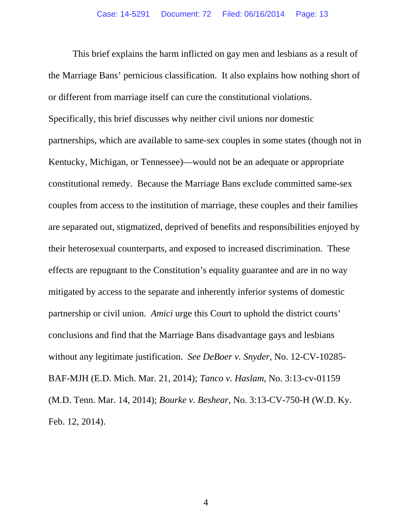This brief explains the harm inflicted on gay men and lesbians as a result of the Marriage Bans' pernicious classification. It also explains how nothing short of or different from marriage itself can cure the constitutional violations. Specifically, this brief discusses why neither civil unions nor domestic partnerships, which are available to same-sex couples in some states (though not in Kentucky, Michigan, or Tennessee)—would not be an adequate or appropriate constitutional remedy. Because the Marriage Bans exclude committed same-sex couples from access to the institution of marriage, these couples and their families are separated out, stigmatized, deprived of benefits and responsibilities enjoyed by their heterosexual counterparts, and exposed to increased discrimination. These effects are repugnant to the Constitution's equality guarantee and are in no way mitigated by access to the separate and inherently inferior systems of domestic partnership or civil union. *Amici* urge this Court to uphold the district courts' conclusions and find that the Marriage Bans disadvantage gays and lesbians without any legitimate justification. *See DeBoer v. Snyder*, No. 12-CV-10285- BAF-MJH (E.D. Mich. Mar. 21, 2014); *Tanco v. Haslam*, No. 3:13-cv-01159 (M.D. Tenn. Mar. 14, 2014); *Bourke v. Beshear*, No. 3:13-CV-750-H (W.D. Ky. Feb. 12, 2014).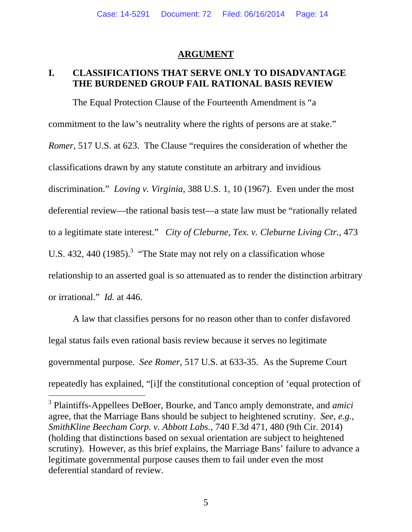### **ARGUMENT**

## **I. CLASSIFICATIONS THAT SERVE ONLY TO DISADVANTAGE THE BURDENED GROUP FAIL RATIONAL BASIS REVIEW**

The Equal Protection Clause of the Fourteenth Amendment is "a commitment to the law's neutrality where the rights of persons are at stake." *Romer*, 517 U.S. at 623. The Clause "requires the consideration of whether the classifications drawn by any statute constitute an arbitrary and invidious discrimination." *Loving v. Virginia*, 388 U.S. 1, 10 (1967).Even under the most deferential review—the rational basis test—a state law must be "rationally related to a legitimate state interest." *City of Cleburne, Tex. v. Cleburne Living Ctr.*, 473 U.S. 432, 440  $(1985)$ .<sup>3</sup> "The State may not rely on a classification whose relationship to an asserted goal is so attenuated as to render the distinction arbitrary or irrational." *Id.* at 446.

A law that classifies persons for no reason other than to confer disfavored legal status fails even rational basis review because it serves no legitimate governmental purpose. *See Romer*, 517 U.S. at 633-35. As the Supreme Court repeatedly has explained, "[i]f the constitutional conception of 'equal protection of

-

<sup>3</sup> Plaintiffs-Appellees DeBoer, Bourke, and Tanco amply demonstrate, and *amici* agree, that the Marriage Bans should be subject to heightened scrutiny. *See, e.g.*, *SmithKline Beecham Corp. v. Abbott Labs.*, 740 F.3d 471, 480 (9th Cir. 2014) (holding that distinctions based on sexual orientation are subject to heightened scrutiny).However, as this brief explains, the Marriage Bans' failure to advance a legitimate governmental purpose causes them to fail under even the most deferential standard of review.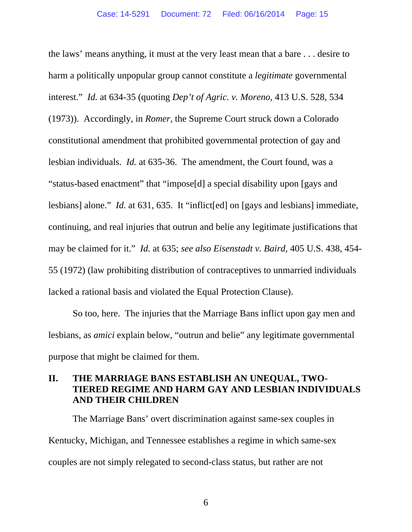the laws' means anything, it must at the very least mean that a bare . . . desire to harm a politically unpopular group cannot constitute a *legitimate* governmental interest." *Id.* at 634-35 (quoting *Dep't of Agric. v. Moreno*, 413 U.S. 528, 534 (1973)). Accordingly, in *Romer*, the Supreme Court struck down a Colorado constitutional amendment that prohibited governmental protection of gay and lesbian individuals. *Id.* at 635-36.The amendment, the Court found, was a "status-based enactment" that "impose[d] a special disability upon [gays and lesbians] alone." *Id.* at 631, 635. It "inflict[ed] on [gays and lesbians] immediate, continuing, and real injuries that outrun and belie any legitimate justifications that may be claimed for it." *Id.* at 635; *see also Eisenstadt v. Baird*, 405 U.S. 438, 454- 55 (1972) (law prohibiting distribution of contraceptives to unmarried individuals lacked a rational basis and violated the Equal Protection Clause).

So too, here. The injuries that the Marriage Bans inflict upon gay men and lesbians, as *amici* explain below, "outrun and belie" any legitimate governmental purpose that might be claimed for them.

## **II. THE MARRIAGE BANS ESTABLISH AN UNEQUAL, TWO-TIERED REGIME AND HARM GAY AND LESBIAN INDIVIDUALS AND THEIR CHILDREN**

The Marriage Bans' overt discrimination against same-sex couples in Kentucky, Michigan, and Tennessee establishes a regime in which same-sex couples are not simply relegated to second-class status, but rather are not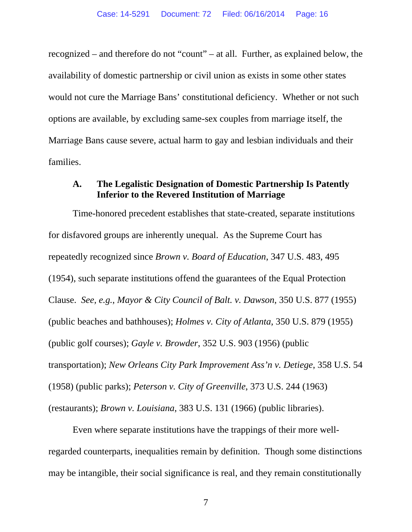recognized – and therefore do not "count" – at all. Further, as explained below, the availability of domestic partnership or civil union as exists in some other states would not cure the Marriage Bans' constitutional deficiency. Whether or not such options are available, by excluding same-sex couples from marriage itself, the Marriage Bans cause severe, actual harm to gay and lesbian individuals and their families.

#### **A. The Legalistic Designation of Domestic Partnership Is Patently Inferior to the Revered Institution of Marriage**

Time-honored precedent establishes that state-created, separate institutions for disfavored groups are inherently unequal. As the Supreme Court has repeatedly recognized since *Brown v. Board of Education*, 347 U.S. 483, 495 (1954), such separate institutions offend the guarantees of the Equal Protection Clause. *See, e.g.*, *Mayor & City Council of Balt. v. Dawson*, 350 U.S. 877 (1955) (public beaches and bathhouses); *Holmes v. City of Atlanta*, 350 U.S. 879 (1955) (public golf courses); *Gayle v. Browder*, 352 U.S. 903 (1956) (public transportation); *New Orleans City Park Improvement Ass'n v. Detiege*, 358 U.S. 54 (1958) (public parks); *Peterson v. City of Greenville*, 373 U.S. 244 (1963) (restaurants); *Brown v. Louisiana*, 383 U.S. 131 (1966) (public libraries).

Even where separate institutions have the trappings of their more wellregarded counterparts, inequalities remain by definition. Though some distinctions may be intangible, their social significance is real, and they remain constitutionally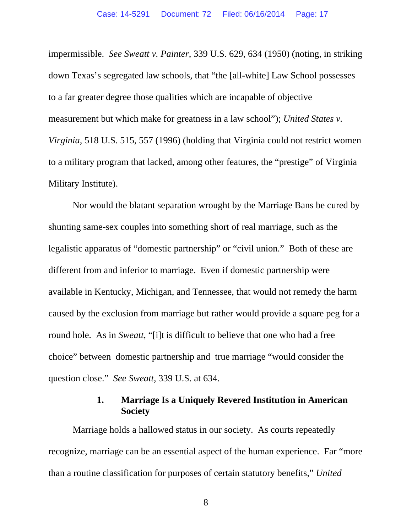impermissible. *See Sweatt v. Painter*, 339 U.S. 629, 634 (1950) (noting, in striking down Texas's segregated law schools, that "the [all-white] Law School possesses to a far greater degree those qualities which are incapable of objective measurement but which make for greatness in a law school"); *United States v. Virginia*, 518 U.S. 515, 557 (1996) (holding that Virginia could not restrict women to a military program that lacked, among other features, the "prestige" of Virginia Military Institute).

Nor would the blatant separation wrought by the Marriage Bans be cured by shunting same-sex couples into something short of real marriage, such as the legalistic apparatus of "domestic partnership" or "civil union." Both of these are different from and inferior to marriage. Even if domestic partnership were available in Kentucky, Michigan, and Tennessee, that would not remedy the harm caused by the exclusion from marriage but rather would provide a square peg for a round hole. As in *Sweatt,* "[i]t is difficult to believe that one who had a free choice" between domestic partnership and true marriage "would consider the question close." *See Sweatt*, 339 U.S. at 634.

## **1. Marriage Is a Uniquely Revered Institution in American Society**

Marriage holds a hallowed status in our society. As courts repeatedly recognize, marriage can be an essential aspect of the human experience. Far "more than a routine classification for purposes of certain statutory benefits," *United* 

8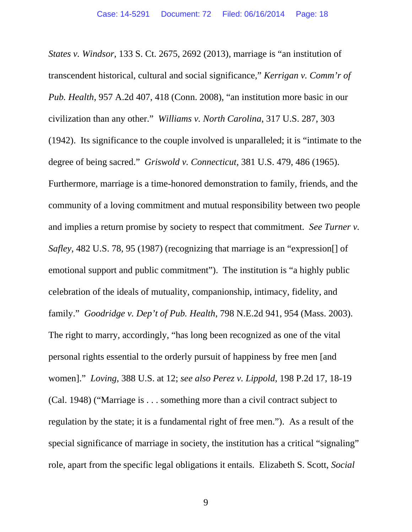*States v. Windsor*, 133 S. Ct. 2675, 2692 (2013), marriage is "an institution of transcendent historical, cultural and social significance," *Kerrigan v. Comm'r of Pub. Health*, 957 A.2d 407, 418 (Conn. 2008), "an institution more basic in our civilization than any other." *Williams v. North Carolina*, 317 U.S. 287, 303 (1942). Its significance to the couple involved is unparalleled; it is "intimate to the degree of being sacred." *Griswold v. Connecticut*, 381 U.S. 479, 486 (1965). Furthermore, marriage is a time-honored demonstration to family, friends, and the community of a loving commitment and mutual responsibility between two people and implies a return promise by society to respect that commitment. *See Turner v. Safley*, 482 U.S. 78, 95 (1987) (recognizing that marriage is an "expression<sup>[]</sup> of emotional support and public commitment"). The institution is "a highly public celebration of the ideals of mutuality, companionship, intimacy, fidelity, and family." *Goodridge v. Dep't of Pub. Health*, 798 N.E.2d 941, 954 (Mass. 2003). The right to marry, accordingly, "has long been recognized as one of the vital personal rights essential to the orderly pursuit of happiness by free men [and women]." *Loving*, 388 U.S. at 12; *see also Perez v. Lippold*, 198 P.2d 17, 18-19 (Cal. 1948) ("Marriage is . . . something more than a civil contract subject to regulation by the state; it is a fundamental right of free men."). As a result of the special significance of marriage in society, the institution has a critical "signaling" role, apart from the specific legal obligations it entails. Elizabeth S. Scott, *Social*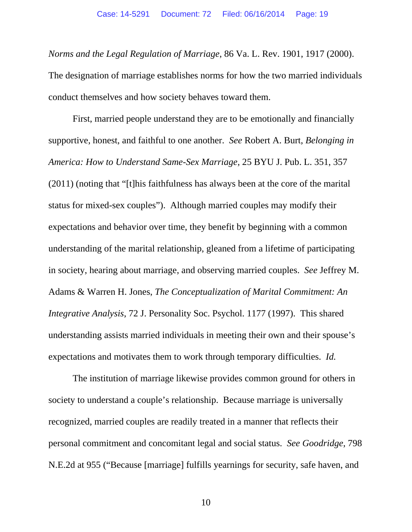*Norms and the Legal Regulation of Marriage*, 86 Va. L. Rev. 1901, 1917 (2000). The designation of marriage establishes norms for how the two married individuals conduct themselves and how society behaves toward them.

First, married people understand they are to be emotionally and financially supportive, honest, and faithful to one another. *See* Robert A. Burt, *Belonging in America: How to Understand Same-Sex Marriage*, 25 BYU J. Pub. L. 351, 357 (2011) (noting that "[t]his faithfulness has always been at the core of the marital status for mixed-sex couples"). Although married couples may modify their expectations and behavior over time, they benefit by beginning with a common understanding of the marital relationship, gleaned from a lifetime of participating in society, hearing about marriage, and observing married couples. *See* Jeffrey M. Adams & Warren H. Jones, *The Conceptualization of Marital Commitment: An Integrative Analysis*, 72 J. Personality Soc. Psychol. 1177 (1997). This shared understanding assists married individuals in meeting their own and their spouse's expectations and motivates them to work through temporary difficulties. *Id.* 

The institution of marriage likewise provides common ground for others in society to understand a couple's relationship. Because marriage is universally recognized, married couples are readily treated in a manner that reflects their personal commitment and concomitant legal and social status. *See Goodridge*, 798 N.E.2d at 955 ("Because [marriage] fulfills yearnings for security, safe haven, and

10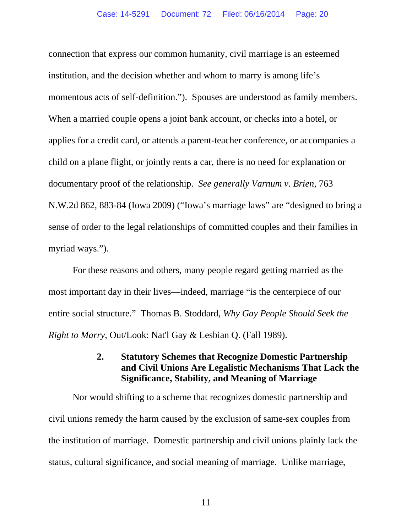connection that express our common humanity, civil marriage is an esteemed institution, and the decision whether and whom to marry is among life's momentous acts of self-definition."). Spouses are understood as family members. When a married couple opens a joint bank account, or checks into a hotel, or applies for a credit card, or attends a parent-teacher conference, or accompanies a child on a plane flight, or jointly rents a car, there is no need for explanation or documentary proof of the relationship. *See generally Varnum v. Brien*, 763 N.W.2d 862, 883-84 (Iowa 2009) ("Iowa's marriage laws" are "designed to bring a sense of order to the legal relationships of committed couples and their families in myriad ways.").

For these reasons and others, many people regard getting married as the most important day in their lives—indeed, marriage "is the centerpiece of our entire social structure." Thomas B. Stoddard, *Why Gay People Should Seek the Right to Marry*, Out/Look: Nat'l Gay & Lesbian Q. (Fall 1989).

## **2. Statutory Schemes that Recognize Domestic Partnership and Civil Unions Are Legalistic Mechanisms That Lack the Significance, Stability, and Meaning of Marriage**

Nor would shifting to a scheme that recognizes domestic partnership and civil unions remedy the harm caused by the exclusion of same-sex couples from the institution of marriage. Domestic partnership and civil unions plainly lack the status, cultural significance, and social meaning of marriage. Unlike marriage,

11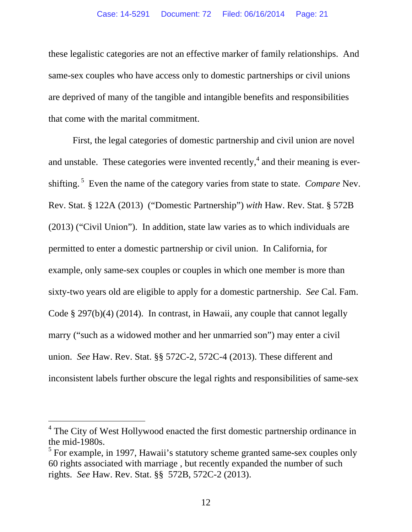these legalistic categories are not an effective marker of family relationships. And same-sex couples who have access only to domestic partnerships or civil unions are deprived of many of the tangible and intangible benefits and responsibilities that come with the marital commitment.

First, the legal categories of domestic partnership and civil union are novel and unstable. These categories were invented recently,  $4$  and their meaning is evershifting. 5 Even the name of the category varies from state to state. *Compare* Nev. Rev. Stat. § 122A (2013) ("Domestic Partnership") *with* Haw. Rev. Stat. § 572B (2013) ("Civil Union"). In addition, state law varies as to which individuals are permitted to enter a domestic partnership or civil union. In California, for example, only same-sex couples or couples in which one member is more than sixty-two years old are eligible to apply for a domestic partnership. *See* Cal. Fam. Code § 297(b)(4) (2014). In contrast, in Hawaii, any couple that cannot legally marry ("such as a widowed mother and her unmarried son") may enter a civil union. *See* Haw. Rev. Stat. §§ 572C-2, 572C-4 (2013). These different and inconsistent labels further obscure the legal rights and responsibilities of same-sex

 $\overline{a}$ 

<sup>&</sup>lt;sup>4</sup> The City of West Hollywood enacted the first domestic partnership ordinance in the mid-1980s.

 $<sup>5</sup>$  For example, in 1997, Hawaii's statutory scheme granted same-sex couples only</sup> 60 rights associated with marriage , but recently expanded the number of such rights. *See* Haw. Rev. Stat. §§ 572B, 572C-2 (2013).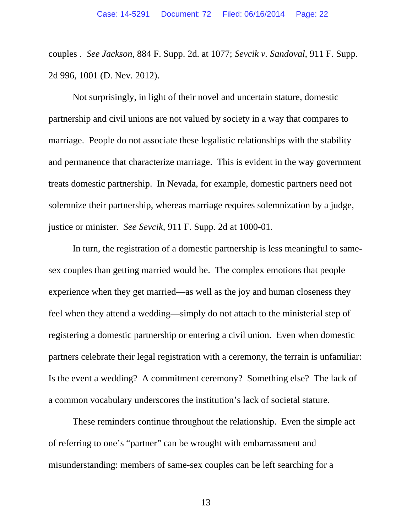couples . *See Jackson,* 884 F. Supp. 2d. at 1077; *Sevcik v. Sandoval*, 911 F. Supp. 2d 996, 1001 (D. Nev. 2012).

Not surprisingly, in light of their novel and uncertain stature, domestic partnership and civil unions are not valued by society in a way that compares to marriage. People do not associate these legalistic relationships with the stability and permanence that characterize marriage. This is evident in the way government treats domestic partnership. In Nevada, for example, domestic partners need not solemnize their partnership, whereas marriage requires solemnization by a judge, justice or minister. *See Sevcik,* 911 F. Supp. 2d at 1000-01.

In turn, the registration of a domestic partnership is less meaningful to samesex couples than getting married would be. The complex emotions that people experience when they get married—as well as the joy and human closeness they feel when they attend a wedding—simply do not attach to the ministerial step of registering a domestic partnership or entering a civil union. Even when domestic partners celebrate their legal registration with a ceremony, the terrain is unfamiliar: Is the event a wedding? A commitment ceremony? Something else? The lack of a common vocabulary underscores the institution's lack of societal stature.

These reminders continue throughout the relationship. Even the simple act of referring to one's "partner" can be wrought with embarrassment and misunderstanding: members of same-sex couples can be left searching for a

13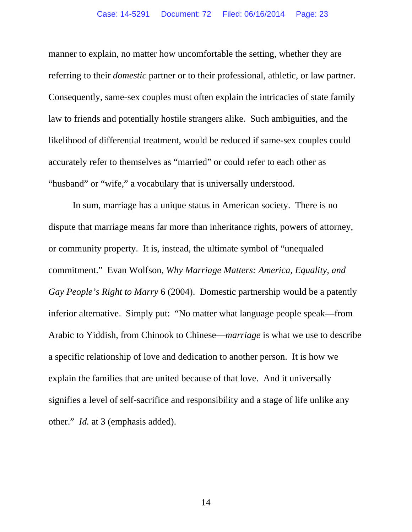manner to explain, no matter how uncomfortable the setting, whether they are referring to their *domestic* partner or to their professional, athletic, or law partner. Consequently, same-sex couples must often explain the intricacies of state family law to friends and potentially hostile strangers alike. Such ambiguities, and the likelihood of differential treatment, would be reduced if same-sex couples could accurately refer to themselves as "married" or could refer to each other as "husband" or "wife," a vocabulary that is universally understood.

In sum, marriage has a unique status in American society. There is no dispute that marriage means far more than inheritance rights, powers of attorney, or community property. It is, instead, the ultimate symbol of "unequaled commitment." Evan Wolfson, *Why Marriage Matters: America, Equality, and Gay People's Right to Marry* 6 (2004). Domestic partnership would be a patently inferior alternative. Simply put: "No matter what language people speak—from Arabic to Yiddish, from Chinook to Chinese—*marriage* is what we use to describe a specific relationship of love and dedication to another person. It is how we explain the families that are united because of that love. And it universally signifies a level of self-sacrifice and responsibility and a stage of life unlike any other." *Id.* at 3 (emphasis added).

14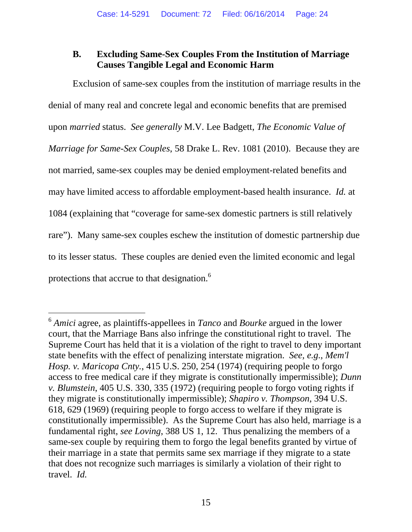## **B. Excluding Same-Sex Couples From the Institution of Marriage Causes Tangible Legal and Economic Harm**

Exclusion of same-sex couples from the institution of marriage results in the denial of many real and concrete legal and economic benefits that are premised upon *married* status. *See generally* M.V. Lee Badgett, *The Economic Value of Marriage for Same-Sex Couples*, 58 Drake L. Rev. 1081 (2010). Because they are not married, same-sex couples may be denied employment-related benefits and may have limited access to affordable employment-based health insurance. *Id.* at 1084 (explaining that "coverage for same-sex domestic partners is still relatively rare"). Many same-sex couples eschew the institution of domestic partnership due to its lesser status. These couples are denied even the limited economic and legal protections that accrue to that designation.<sup>6</sup>

-

<sup>6</sup> *Amici* agree, as plaintiffs-appellees in *Tanco* and *Bourke* argued in the lower court, that the Marriage Bans also infringe the constitutional right to travel. The Supreme Court has held that it is a violation of the right to travel to deny important state benefits with the effect of penalizing interstate migration. *See, e.g.*, *Mem'l Hosp. v. Maricopa Cnty.*, 415 U.S. 250, 254 (1974) (requiring people to forgo access to free medical care if they migrate is constitutionally impermissible); *Dunn v. Blumstein*, 405 U.S. 330, 335 (1972) (requiring people to forgo voting rights if they migrate is constitutionally impermissible); *Shapiro v. Thompson*, 394 U.S. 618, 629 (1969) (requiring people to forgo access to welfare if they migrate is constitutionally impermissible). As the Supreme Court has also held, marriage is a fundamental right, *see Loving*, 388 US 1, 12. Thus penalizing the members of a same-sex couple by requiring them to forgo the legal benefits granted by virtue of their marriage in a state that permits same sex marriage if they migrate to a state that does not recognize such marriages is similarly a violation of their right to travel. *Id.*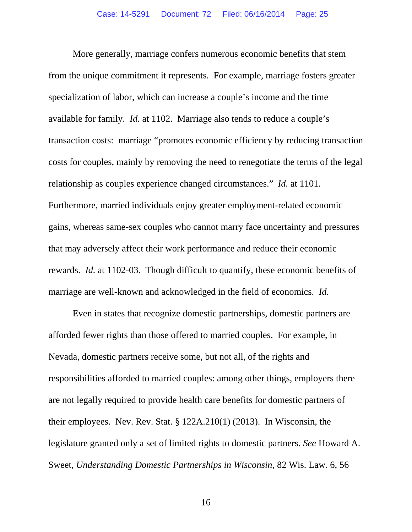More generally, marriage confers numerous economic benefits that stem from the unique commitment it represents. For example, marriage fosters greater specialization of labor, which can increase a couple's income and the time available for family. *Id.* at 1102. Marriage also tends to reduce a couple's transaction costs: marriage "promotes economic efficiency by reducing transaction costs for couples, mainly by removing the need to renegotiate the terms of the legal relationship as couples experience changed circumstances." *Id.* at 1101. Furthermore, married individuals enjoy greater employment-related economic gains, whereas same-sex couples who cannot marry face uncertainty and pressures that may adversely affect their work performance and reduce their economic rewards. *Id.* at 1102-03. Though difficult to quantify, these economic benefits of marriage are well-known and acknowledged in the field of economics. *Id.*

Even in states that recognize domestic partnerships, domestic partners are afforded fewer rights than those offered to married couples. For example, in Nevada, domestic partners receive some, but not all, of the rights and responsibilities afforded to married couples: among other things, employers there are not legally required to provide health care benefits for domestic partners of their employees. Nev. Rev. Stat. § 122A.210(1) (2013). In Wisconsin, the legislature granted only a set of limited rights to domestic partners. *See* Howard A. Sweet, *Understanding Domestic Partnerships in Wisconsin*, 82 Wis. Law. 6, 56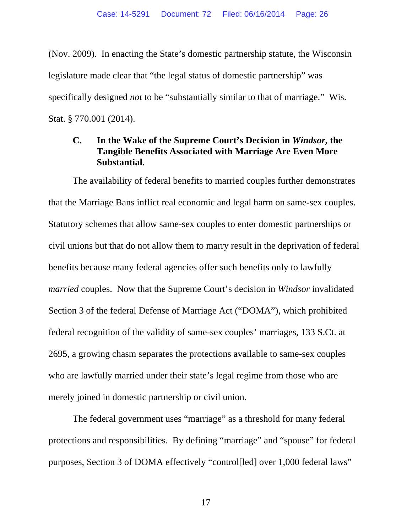(Nov. 2009). In enacting the State's domestic partnership statute, the Wisconsin legislature made clear that "the legal status of domestic partnership" was specifically designed *not* to be "substantially similar to that of marriage." Wis. Stat. § 770.001 (2014).

## **C. In the Wake of the Supreme Court's Decision in** *Windsor***, the Tangible Benefits Associated with Marriage Are Even More Substantial.**

The availability of federal benefits to married couples further demonstrates that the Marriage Bans inflict real economic and legal harm on same-sex couples. Statutory schemes that allow same-sex couples to enter domestic partnerships or civil unions but that do not allow them to marry result in the deprivation of federal benefits because many federal agencies offer such benefits only to lawfully *married* couples. Now that the Supreme Court's decision in *Windsor* invalidated Section 3 of the federal Defense of Marriage Act ("DOMA"), which prohibited federal recognition of the validity of same-sex couples' marriages, 133 S.Ct. at 2695, a growing chasm separates the protections available to same-sex couples who are lawfully married under their state's legal regime from those who are merely joined in domestic partnership or civil union.

The federal government uses "marriage" as a threshold for many federal protections and responsibilities. By defining "marriage" and "spouse" for federal purposes, Section 3 of DOMA effectively "control[led] over 1,000 federal laws"

17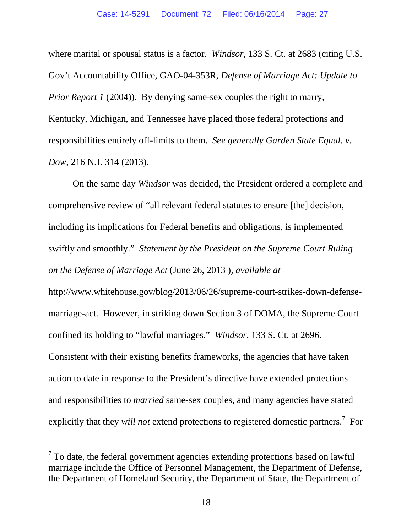where marital or spousal status is a factor. *Windsor*, 133 S. Ct. at 2683 (citing U.S. Gov't Accountability Office, GAO-04-353R, *Defense of Marriage Act: Update to Prior Report 1* (2004)). By denying same-sex couples the right to marry, Kentucky, Michigan, and Tennessee have placed those federal protections and responsibilities entirely off-limits to them. *See generally Garden State Equal. v. Dow*, 216 N.J. 314 (2013).

On the same day *Windsor* was decided, the President ordered a complete and comprehensive review of "all relevant federal statutes to ensure [the] decision, including its implications for Federal benefits and obligations, is implemented swiftly and smoothly." *Statement by the President on the Supreme Court Ruling on the Defense of Marriage Act* (June 26, 2013 )*, available at*  http://www.whitehouse.gov/blog/2013/06/26/supreme-court-strikes-down-defense-

marriage-act. However, in striking down Section 3 of DOMA, the Supreme Court confined its holding to "lawful marriages." *Windsor,* 133 S. Ct. at 2696. Consistent with their existing benefits frameworks, the agencies that have taken action to date in response to the President's directive have extended protections and responsibilities to *married* same-sex couples, and many agencies have stated explicitly that they *will not* extend protections to registered domestic partners.<sup>7</sup> For

-

 $7$  To date, the federal government agencies extending protections based on lawful marriage include the Office of Personnel Management, the Department of Defense, the Department of Homeland Security, the Department of State, the Department of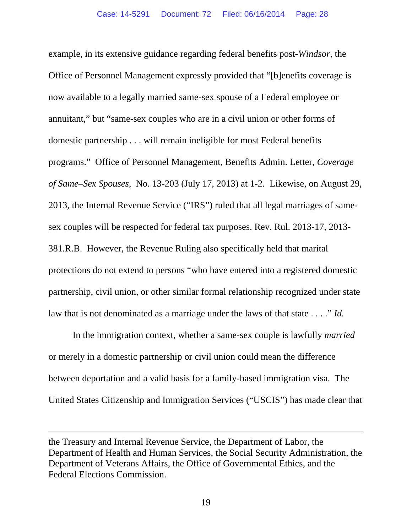example, in its extensive guidance regarding federal benefits post-*Windsor*, the Office of Personnel Management expressly provided that "[b]enefits coverage is now available to a legally married same-sex spouse of a Federal employee or annuitant," but "same-sex couples who are in a civil union or other forms of domestic partnership . . . will remain ineligible for most Federal benefits programs." Office of Personnel Management, Benefits Admin. Letter, *Coverage of Same–Sex Spouses,* No. 13-203 (July 17, 2013) at 1-2. Likewise, on August 29, 2013, the Internal Revenue Service ("IRS") ruled that all legal marriages of samesex couples will be respected for federal tax purposes. Rev. Rul. 2013-17, 2013- 381.R.B. However, the Revenue Ruling also specifically held that marital protections do not extend to persons "who have entered into a registered domestic partnership, civil union, or other similar formal relationship recognized under state law that is not denominated as a marriage under the laws of that state . . . ." *Id.* 

In the immigration context, whether a same-sex couple is lawfully *married*  or merely in a domestic partnership or civil union could mean the difference between deportation and a valid basis for a family-based immigration visa. The United States Citizenship and Immigration Services ("USCIS") has made clear that

 $\overline{a}$ 

the Treasury and Internal Revenue Service, the Department of Labor, the Department of Health and Human Services, the Social Security Administration, the Department of Veterans Affairs, the Office of Governmental Ethics, and the Federal Elections Commission.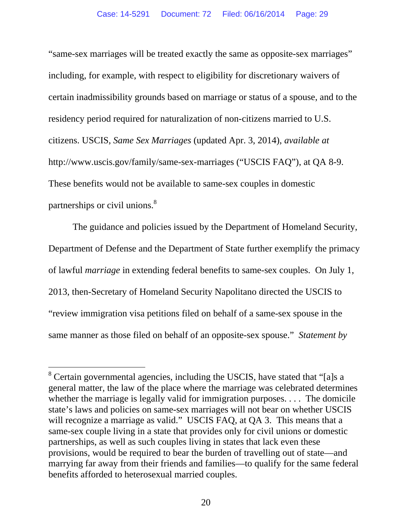"same-sex marriages will be treated exactly the same as opposite-sex marriages" including, for example, with respect to eligibility for discretionary waivers of certain inadmissibility grounds based on marriage or status of a spouse, and to the residency period required for naturalization of non-citizens married to U.S. citizens. USCIS, *Same Sex Marriages* (updated Apr. 3, 2014), *available at*  http://www.uscis.gov/family/same-sex-marriages ("USCIS FAQ"), at QA 8-9. These benefits would not be available to same-sex couples in domestic partnerships or civil unions.<sup>8</sup>

The guidance and policies issued by the Department of Homeland Security, Department of Defense and the Department of State further exemplify the primacy of lawful *marriage* in extending federal benefits to same-sex couples. On July 1, 2013, then-Secretary of Homeland Security Napolitano directed the USCIS to "review immigration visa petitions filed on behalf of a same-sex spouse in the same manner as those filed on behalf of an opposite-sex spouse." *Statement by* 

 $\overline{a}$ 

<sup>&</sup>lt;sup>8</sup> Certain governmental agencies, including the USCIS, have stated that "[a]s a general matter, the law of the place where the marriage was celebrated determines whether the marriage is legally valid for immigration purposes. . . . The domicile state's laws and policies on same-sex marriages will not bear on whether USCIS will recognize a marriage as valid." USCIS FAQ, at QA 3. This means that a same-sex couple living in a state that provides only for civil unions or domestic partnerships, as well as such couples living in states that lack even these provisions, would be required to bear the burden of travelling out of state—and marrying far away from their friends and families—to qualify for the same federal benefits afforded to heterosexual married couples.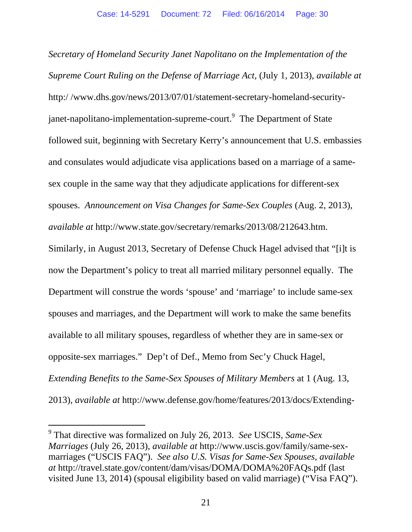*Secretary of Homeland Security Janet Napolitano on the Implementation of the Supreme Court Ruling on the Defense of Marriage Act,* (July 1, 2013), *available at* http:/ /www.dhs.gov/news/2013/07/01/statement-secretary-homeland-securityjanet-napolitano-implementation-supreme-court.<sup>9</sup> The Department of State followed suit, beginning with Secretary Kerry's announcement that U.S. embassies and consulates would adjudicate visa applications based on a marriage of a samesex couple in the same way that they adjudicate applications for different-sex spouses. *Announcement on Visa Changes for Same-Sex Couples* (Aug. 2, 2013), *available at* http://www.state.gov/secretary/remarks/2013/08/212643.htm.

Similarly, in August 2013, Secretary of Defense Chuck Hagel advised that "[i]t is now the Department's policy to treat all married military personnel equally. The Department will construe the words 'spouse' and 'marriage' to include same-sex spouses and marriages, and the Department will work to make the same benefits available to all military spouses, regardless of whether they are in same-sex or opposite-sex marriages." Dep't of Def., Memo from Sec'y Chuck Hagel, *Extending Benefits to the Same-Sex Spouses of Military Members* at 1 (Aug. 13, 2013), *available at* http://www.defense.gov/home/features/2013/docs/Extending-

l

<sup>9</sup> That directive was formalized on July 26, 2013. *See* USCIS, *Same-Sex Marriages* (July 26, 2013), *available at* http://www.uscis.gov/family/same-sexmarriages ("USCIS FAQ"). *See also U.S. Visas for Same-Sex Spouses, available at* http://travel.state.gov/content/dam/visas/DOMA/DOMA%20FAQs.pdf (last visited June 13, 2014) (spousal eligibility based on valid marriage) ("Visa FAQ").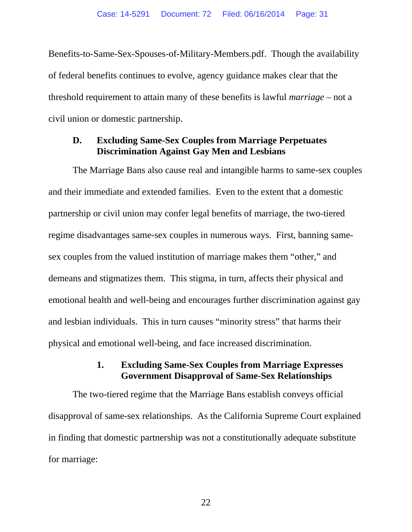Benefits-to-Same-Sex-Spouses-of-Military-Members.pdf. Though the availability of federal benefits continues to evolve, agency guidance makes clear that the threshold requirement to attain many of these benefits is lawful *marriage* – not a civil union or domestic partnership.

### **D. Excluding Same-Sex Couples from Marriage Perpetuates Discrimination Against Gay Men and Lesbians**

The Marriage Bans also cause real and intangible harms to same-sex couples and their immediate and extended families. Even to the extent that a domestic partnership or civil union may confer legal benefits of marriage, the two-tiered regime disadvantages same-sex couples in numerous ways. First, banning samesex couples from the valued institution of marriage makes them "other," and demeans and stigmatizes them. This stigma, in turn, affects their physical and emotional health and well-being and encourages further discrimination against gay and lesbian individuals. This in turn causes "minority stress" that harms their physical and emotional well-being, and face increased discrimination.

## **1. Excluding Same-Sex Couples from Marriage Expresses Government Disapproval of Same-Sex Relationships**

The two-tiered regime that the Marriage Bans establish conveys official disapproval of same-sex relationships. As the California Supreme Court explained in finding that domestic partnership was not a constitutionally adequate substitute for marriage:

22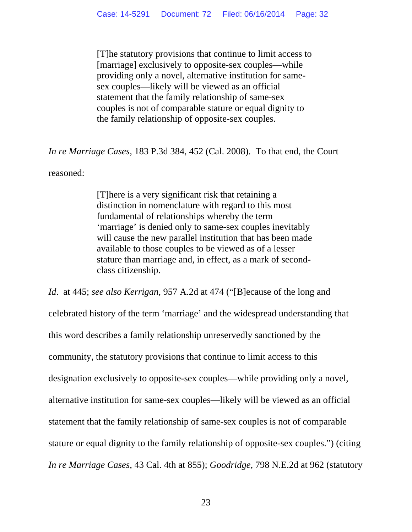[T]he statutory provisions that continue to limit access to [marriage] exclusively to opposite-sex couples—while providing only a novel, alternative institution for samesex couples—likely will be viewed as an official statement that the family relationship of same-sex couples is not of comparable stature or equal dignity to the family relationship of opposite-sex couples.

*In re Marriage Cases*, 183 P.3d 384, 452 (Cal. 2008). To that end, the Court

reasoned:

[T]here is a very significant risk that retaining a distinction in nomenclature with regard to this most fundamental of relationships whereby the term 'marriage' is denied only to same-sex couples inevitably will cause the new parallel institution that has been made available to those couples to be viewed as of a lesser stature than marriage and, in effect, as a mark of secondclass citizenship.

*Id*. at 445; *see also Kerrigan*, 957 A.2d at 474 ("[B]ecause of the long and celebrated history of the term 'marriage' and the widespread understanding that this word describes a family relationship unreservedly sanctioned by the community, the statutory provisions that continue to limit access to this designation exclusively to opposite-sex couples—while providing only a novel, alternative institution for same-sex couples—likely will be viewed as an official statement that the family relationship of same-sex couples is not of comparable stature or equal dignity to the family relationship of opposite-sex couples.") (citing *In re Marriage Cases*, 43 Cal. 4th at 855); *Goodridge*, 798 N.E.2d at 962 (statutory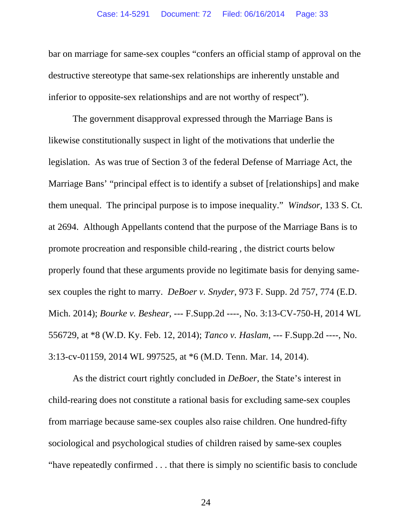bar on marriage for same-sex couples "confers an official stamp of approval on the destructive stereotype that same-sex relationships are inherently unstable and inferior to opposite-sex relationships and are not worthy of respect").

The government disapproval expressed through the Marriage Bans is likewise constitutionally suspect in light of the motivations that underlie the legislation. As was true of Section 3 of the federal Defense of Marriage Act, the Marriage Bans' "principal effect is to identify a subset of [relationships] and make them unequal. The principal purpose is to impose inequality." *Windsor*, 133 S. Ct. at 2694. Although Appellants contend that the purpose of the Marriage Bans is to promote procreation and responsible child-rearing , the district courts below properly found that these arguments provide no legitimate basis for denying samesex couples the right to marry. *DeBoer v. Snyder*, 973 F. Supp. 2d 757, 774 (E.D. Mich. 2014); *Bourke v. Beshear*, --- F.Supp.2d ----, No. 3:13-CV-750-H, 2014 WL 556729, at \*8 (W.D. Ky. Feb. 12, 2014); *Tanco v. Haslam*, --- F.Supp.2d ----, No. 3:13-cv-01159, 2014 WL 997525, at \*6 (M.D. Tenn. Mar. 14, 2014).

As the district court rightly concluded in *DeBoer*, the State's interest in child-rearing does not constitute a rational basis for excluding same-sex couples from marriage because same-sex couples also raise children. One hundred-fifty sociological and psychological studies of children raised by same-sex couples "have repeatedly confirmed . . . that there is simply no scientific basis to conclude

24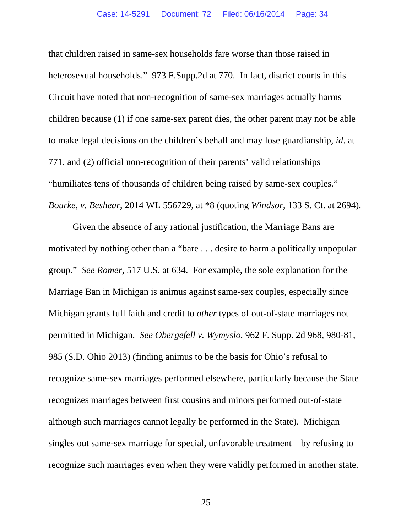that children raised in same-sex households fare worse than those raised in heterosexual households." 973 F.Supp.2d at 770. In fact, district courts in this Circuit have noted that non-recognition of same-sex marriages actually harms children because (1) if one same-sex parent dies, the other parent may not be able to make legal decisions on the children's behalf and may lose guardianship, *id*. at 771, and (2) official non-recognition of their parents' valid relationships "humiliates tens of thousands of children being raised by same-sex couples." *Bourke*, *v. Beshear*, 2014 WL 556729, at \*8 (quoting *Windsor*, 133 S. Ct. at 2694).

Given the absence of any rational justification, the Marriage Bans are motivated by nothing other than a "bare . . . desire to harm a politically unpopular group." *See Romer*, 517 U.S. at 634. For example, the sole explanation for the Marriage Ban in Michigan is animus against same-sex couples, especially since Michigan grants full faith and credit to *other* types of out-of-state marriages not permitted in Michigan. *See Obergefell v. Wymyslo*, 962 F. Supp. 2d 968, 980-81, 985 (S.D. Ohio 2013) (finding animus to be the basis for Ohio's refusal to recognize same-sex marriages performed elsewhere, particularly because the State recognizes marriages between first cousins and minors performed out-of-state although such marriages cannot legally be performed in the State). Michigan singles out same-sex marriage for special, unfavorable treatment—by refusing to recognize such marriages even when they were validly performed in another state.

25 and 25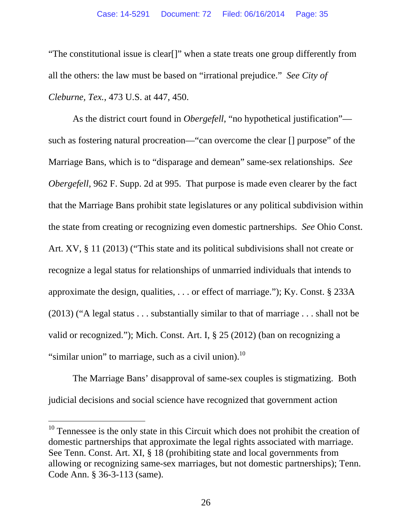"The constitutional issue is clear[]" when a state treats one group differently from all the others: the law must be based on "irrational prejudice." *See City of Cleburne, Tex.*, 473 U.S. at 447, 450.

As the district court found in *Obergefell*, "no hypothetical justification" such as fostering natural procreation—"can overcome the clear [] purpose" of the Marriage Bans, which is to "disparage and demean" same-sex relationships. *See Obergefell*, 962 F. Supp. 2d at 995. That purpose is made even clearer by the fact that the Marriage Bans prohibit state legislatures or any political subdivision within the state from creating or recognizing even domestic partnerships. *See* Ohio Const. Art. XV, § 11 (2013) ("This state and its political subdivisions shall not create or recognize a legal status for relationships of unmarried individuals that intends to approximate the design, qualities, . . . or effect of marriage."); Ky. Const. § 233A (2013) ("A legal status . . . substantially similar to that of marriage . . . shall not be valid or recognized."); Mich. Const. Art. I, § 25 (2012) (ban on recognizing a "similar union" to marriage, such as a civil union). $^{10}$ 

The Marriage Bans' disapproval of same-sex couples is stigmatizing. Both judicial decisions and social science have recognized that government action

l

 $10$  Tennessee is the only state in this Circuit which does not prohibit the creation of domestic partnerships that approximate the legal rights associated with marriage. See Tenn. Const. Art. XI, § 18 (prohibiting state and local governments from allowing or recognizing same-sex marriages, but not domestic partnerships); Tenn. Code Ann. § 36-3-113 (same).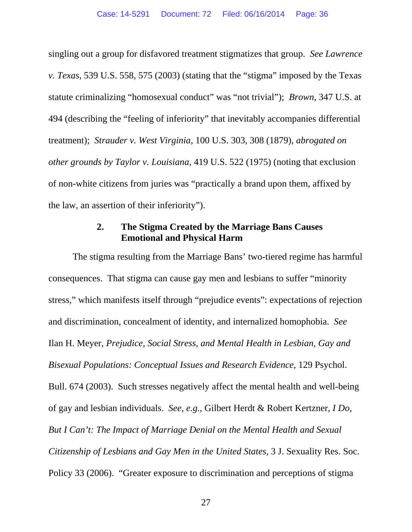singling out a group for disfavored treatment stigmatizes that group. *See Lawrence v. Texas*, 539 U.S. 558, 575 (2003) (stating that the "stigma" imposed by the Texas statute criminalizing "homosexual conduct" was "not trivial"); *Brown*, 347 U.S. at 494 (describing the "feeling of inferiority" that inevitably accompanies differential treatment); *Strauder v. West Virginia*, 100 U.S. 303, 308 (1879), *abrogated on other grounds by Taylor v. Louisiana*, 419 U.S. 522 (1975) (noting that exclusion of non-white citizens from juries was "practically a brand upon them, affixed by the law, an assertion of their inferiority").

### **2. The Stigma Created by the Marriage Bans Causes Emotional and Physical Harm**

The stigma resulting from the Marriage Bans' two-tiered regime has harmful consequences. That stigma can cause gay men and lesbians to suffer "minority stress," which manifests itself through "prejudice events": expectations of rejection and discrimination, concealment of identity, and internalized homophobia. *See* Ilan H. Meyer, *Prejudice, Social Stress, and Mental Health in Lesbian, Gay and Bisexual Populations: Conceptual Issues and Research Evidence*, 129 Psychol. Bull. 674 (2003). Such stresses negatively affect the mental health and well-being of gay and lesbian individuals. *See, e.g.*, Gilbert Herdt & Robert Kertzner, *I Do, But I Can't: The Impact of Marriage Denial on the Mental Health and Sexual Citizenship of Lesbians and Gay Men in the United States*, 3 J. Sexuality Res. Soc. Policy 33 (2006). "Greater exposure to discrimination and perceptions of stigma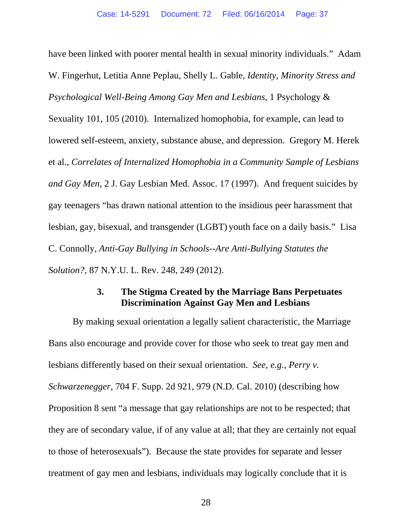have been linked with poorer mental health in sexual minority individuals." Adam W. Fingerhut, Letitia Anne Peplau, Shelly L. Gable, *Identity, Minority Stress and Psychological Well-Being Among Gay Men and Lesbians*, 1 Psychology & Sexuality 101, 105 (2010). Internalized homophobia, for example, can lead to lowered self-esteem, anxiety, substance abuse, and depression. Gregory M. Herek et al., *Correlates of Internalized Homophobia in a Community Sample of Lesbians and Gay Men*, 2 J. Gay Lesbian Med. Assoc. 17 (1997). And frequent suicides by gay teenagers "has drawn national attention to the insidious peer harassment that lesbian, gay, bisexual, and transgender (LGBT) youth face on a daily basis." Lisa C. Connolly, *Anti-Gay Bullying in Schools--Are Anti-Bullying Statutes the Solution?*, 87 N.Y.U. L. Rev. 248, 249 (2012).

#### **3. The Stigma Created by the Marriage Bans Perpetuates Discrimination Against Gay Men and Lesbians**

By making sexual orientation a legally salient characteristic, the Marriage Bans also encourage and provide cover for those who seek to treat gay men and lesbians differently based on their sexual orientation. *See, e.g.*, *Perry v. Schwarzenegger*, 704 F. Supp. 2d 921, 979 (N.D. Cal. 2010) (describing how Proposition 8 sent "a message that gay relationships are not to be respected; that they are of secondary value, if of any value at all; that they are certainly not equal to those of heterosexuals"). Because the state provides for separate and lesser treatment of gay men and lesbians, individuals may logically conclude that it is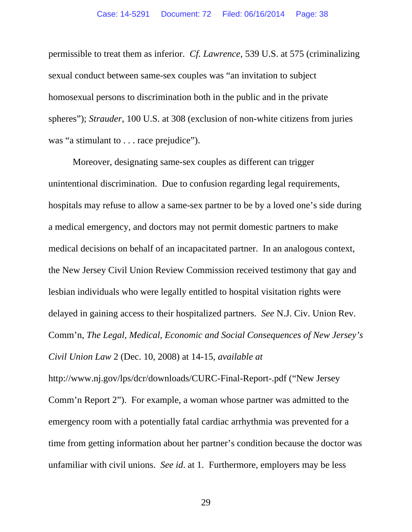permissible to treat them as inferior. *Cf. Lawrence*, 539 U.S. at 575 (criminalizing sexual conduct between same-sex couples was "an invitation to subject homosexual persons to discrimination both in the public and in the private spheres"); *Strauder*, 100 U.S. at 308 (exclusion of non-white citizens from juries was "a stimulant to . . . race prejudice").

Moreover, designating same-sex couples as different can trigger unintentional discrimination. Due to confusion regarding legal requirements, hospitals may refuse to allow a same-sex partner to be by a loved one's side during a medical emergency, and doctors may not permit domestic partners to make medical decisions on behalf of an incapacitated partner. In an analogous context, the New Jersey Civil Union Review Commission received testimony that gay and lesbian individuals who were legally entitled to hospital visitation rights were delayed in gaining access to their hospitalized partners. *See* N.J. Civ. Union Rev. Comm'n, *The Legal, Medical, Economic and Social Consequences of New Jersey's Civil Union Law* 2 (Dec. 10, 2008) at 14-15, *available at*

http://www.nj.gov/lps/dcr/downloads/CURC-Final-Report-.pdf ("New Jersey Comm'n Report 2"). For example, a woman whose partner was admitted to the emergency room with a potentially fatal cardiac arrhythmia was prevented for a time from getting information about her partner's condition because the doctor was unfamiliar with civil unions. *See id*. at 1. Furthermore, employers may be less

29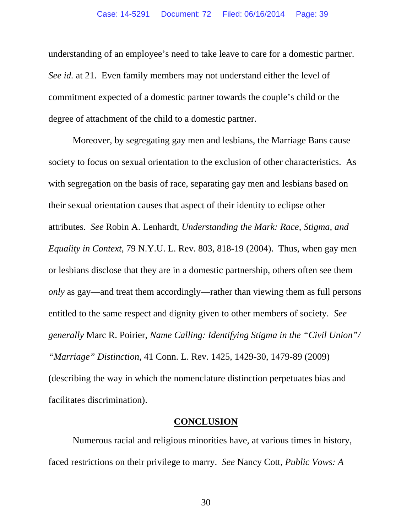understanding of an employee's need to take leave to care for a domestic partner. *See id.* at 21. Even family members may not understand either the level of commitment expected of a domestic partner towards the couple's child or the degree of attachment of the child to a domestic partner.

Moreover, by segregating gay men and lesbians, the Marriage Bans cause society to focus on sexual orientation to the exclusion of other characteristics. As with segregation on the basis of race, separating gay men and lesbians based on their sexual orientation causes that aspect of their identity to eclipse other attributes. *See* Robin A. Lenhardt, *Understanding the Mark: Race, Stigma, and Equality in Context*, 79 N.Y.U. L. Rev. 803, 818-19 (2004). Thus, when gay men or lesbians disclose that they are in a domestic partnership, others often see them *only* as gay—and treat them accordingly—rather than viewing them as full persons entitled to the same respect and dignity given to other members of society. *See generally* Marc R. Poirier, *Name Calling: Identifying Stigma in the "Civil Union"/ "Marriage" Distinction*, 41 Conn. L. Rev. 1425, 1429-30, 1479-89 (2009) (describing the way in which the nomenclature distinction perpetuates bias and facilitates discrimination).

#### **CONCLUSION**

Numerous racial and religious minorities have, at various times in history, faced restrictions on their privilege to marry. *See* Nancy Cott, *Public Vows: A* 

30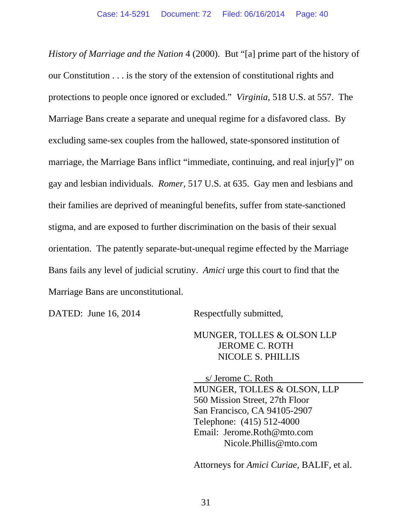*History of Marriage and the Nation* 4 (2000). But "[a] prime part of the history of our Constitution . . . is the story of the extension of constitutional rights and protections to people once ignored or excluded." *Virginia*, 518 U.S. at 557. The Marriage Bans create a separate and unequal regime for a disfavored class. By excluding same-sex couples from the hallowed, state-sponsored institution of marriage, the Marriage Bans inflict "immediate, continuing, and real injur[y]" on gay and lesbian individuals. *Romer*, 517 U.S. at 635. Gay men and lesbians and their families are deprived of meaningful benefits, suffer from state-sanctioned stigma, and are exposed to further discrimination on the basis of their sexual orientation. The patently separate-but-unequal regime effected by the Marriage Bans fails any level of judicial scrutiny. *Amici* urge this court to find that the Marriage Bans are unconstitutional.

DATED: June 16, 2014 Respectfully submitted,

## MUNGER, TOLLES & OLSON LLP JEROME C. ROTH NICOLE S. PHILLIS

 s/ Jerome C. Roth MUNGER, TOLLES & OLSON, LLP 560 Mission Street, 27th Floor San Francisco, CA 94105-2907 Telephone: (415) 512-4000 Email: Jerome.Roth@mto.com Nicole.Phillis@mto.com

Attorneys for *Amici Curiae,* BALIF, et al.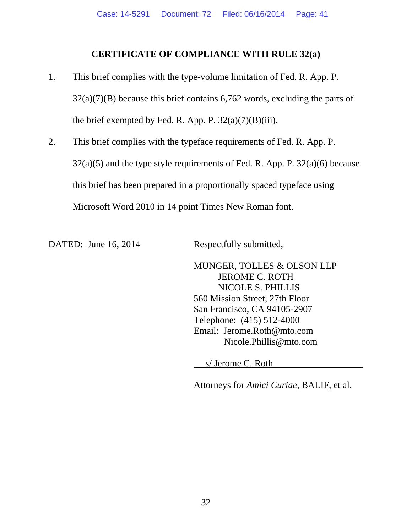### **CERTIFICATE OF COMPLIANCE WITH RULE 32(a)**

- 1. This brief complies with the type-volume limitation of Fed. R. App. P.  $32(a)(7)(B)$  because this brief contains 6,762 words, excluding the parts of the brief exempted by Fed. R. App. P.  $32(a)(7)(B)(iii)$ .
- 2. This brief complies with the typeface requirements of Fed. R. App. P.  $32(a)(5)$  and the type style requirements of Fed. R. App. P.  $32(a)(6)$  because this brief has been prepared in a proportionally spaced typeface using Microsoft Word 2010 in 14 point Times New Roman font.

DATED: June 16, 2014 Respectfully submitted,

MUNGER, TOLLES & OLSON LLP JEROME C. ROTH NICOLE S. PHILLIS 560 Mission Street, 27th Floor San Francisco, CA 94105-2907 Telephone: (415) 512-4000 Email: Jerome.Roth@mto.com Nicole.Phillis@mto.com

s/ Jerome C. Roth

Attorneys for *Amici Curiae,* BALIF, et al.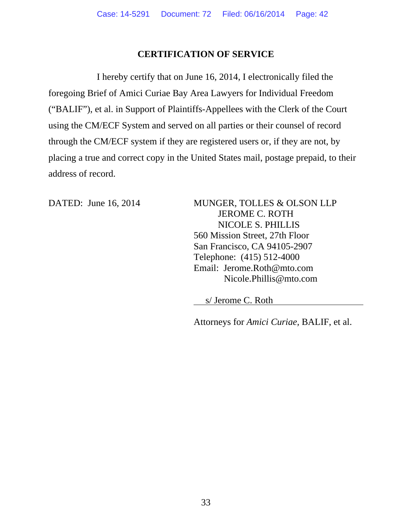### **CERTIFICATION OF SERVICE**

I hereby certify that on June 16, 2014, I electronically filed the foregoing Brief of Amici Curiae Bay Area Lawyers for Individual Freedom ("BALIF"), et al. in Support of Plaintiffs-Appellees with the Clerk of the Court using the CM/ECF System and served on all parties or their counsel of record through the CM/ECF system if they are registered users or, if they are not, by placing a true and correct copy in the United States mail, postage prepaid, to their address of record.

DATED: June 16, 2014 MUNGER, TOLLES & OLSON LLP JEROME C. ROTH NICOLE S. PHILLIS 560 Mission Street, 27th Floor San Francisco, CA 94105-2907 Telephone: (415) 512-4000 Email: Jerome.Roth@mto.com Nicole.Phillis@mto.com

s/ Jerome C. Roth

Attorneys for *Amici Curiae,* BALIF, et al.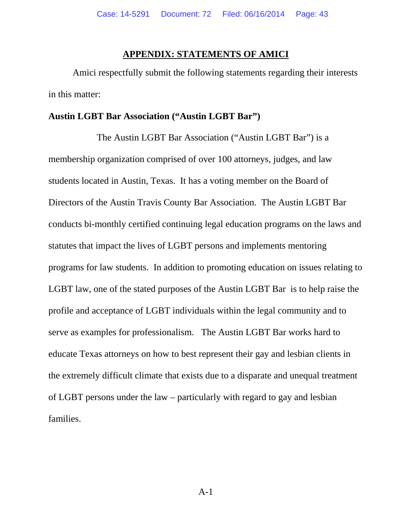#### **APPENDIX: STATEMENTS OF AMICI**

Amici respectfully submit the following statements regarding their interests in this matter:

#### **Austin LGBT Bar Association ("Austin LGBT Bar")**

The Austin LGBT Bar Association ("Austin LGBT Bar") is a membership organization comprised of over 100 attorneys, judges, and law students located in Austin, Texas. It has a voting member on the Board of Directors of the Austin Travis County Bar Association. The Austin LGBT Bar conducts bi-monthly certified continuing legal education programs on the laws and statutes that impact the lives of LGBT persons and implements mentoring programs for law students. In addition to promoting education on issues relating to LGBT law, one of the stated purposes of the Austin LGBT Bar is to help raise the profile and acceptance of LGBT individuals within the legal community and to serve as examples for professionalism. The Austin LGBT Bar works hard to educate Texas attorneys on how to best represent their gay and lesbian clients in the extremely difficult climate that exists due to a disparate and unequal treatment of LGBT persons under the law – particularly with regard to gay and lesbian families.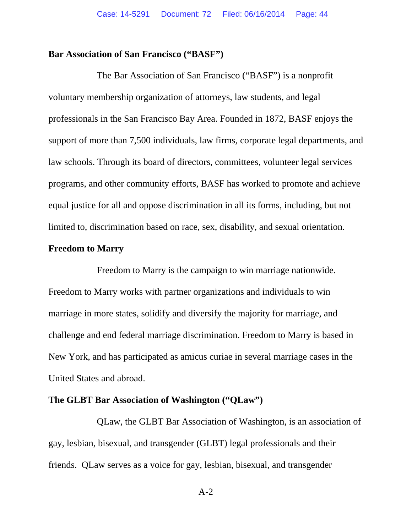#### **Bar Association of San Francisco ("BASF")**

The Bar Association of San Francisco ("BASF") is a nonprofit voluntary membership organization of attorneys, law students, and legal professionals in the San Francisco Bay Area. Founded in 1872, BASF enjoys the support of more than 7,500 individuals, law firms, corporate legal departments, and law schools. Through its board of directors, committees, volunteer legal services programs, and other community efforts, BASF has worked to promote and achieve equal justice for all and oppose discrimination in all its forms, including, but not limited to, discrimination based on race, sex, disability, and sexual orientation.

### **Freedom to Marry**

Freedom to Marry is the campaign to win marriage nationwide. Freedom to Marry works with partner organizations and individuals to win marriage in more states, solidify and diversify the majority for marriage, and challenge and end federal marriage discrimination. Freedom to Marry is based in New York, and has participated as amicus curiae in several marriage cases in the United States and abroad.

#### **The GLBT Bar Association of Washington ("QLaw")**

QLaw, the GLBT Bar Association of Washington, is an association of gay, lesbian, bisexual, and transgender (GLBT) legal professionals and their friends. QLaw serves as a voice for gay, lesbian, bisexual, and transgender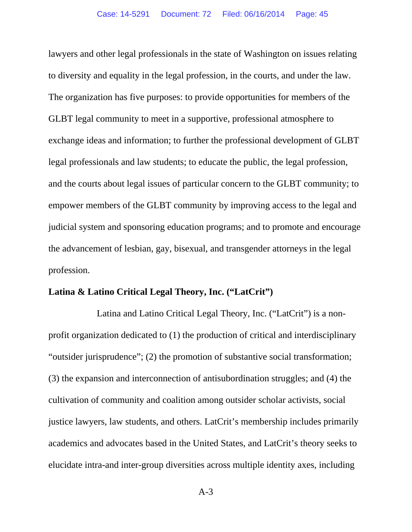lawyers and other legal professionals in the state of Washington on issues relating to diversity and equality in the legal profession, in the courts, and under the law. The organization has five purposes: to provide opportunities for members of the GLBT legal community to meet in a supportive, professional atmosphere to exchange ideas and information; to further the professional development of GLBT legal professionals and law students; to educate the public, the legal profession, and the courts about legal issues of particular concern to the GLBT community; to empower members of the GLBT community by improving access to the legal and judicial system and sponsoring education programs; and to promote and encourage the advancement of lesbian, gay, bisexual, and transgender attorneys in the legal profession.

### **Latina & Latino Critical Legal Theory, Inc. ("LatCrit")**

Latina and Latino Critical Legal Theory, Inc. ("LatCrit") is a nonprofit organization dedicated to (1) the production of critical and interdisciplinary "outsider jurisprudence"; (2) the promotion of substantive social transformation; (3) the expansion and interconnection of antisubordination struggles; and (4) the cultivation of community and coalition among outsider scholar activists, social justice lawyers, law students, and others. LatCrit's membership includes primarily academics and advocates based in the United States, and LatCrit's theory seeks to elucidate intra-and inter-group diversities across multiple identity axes, including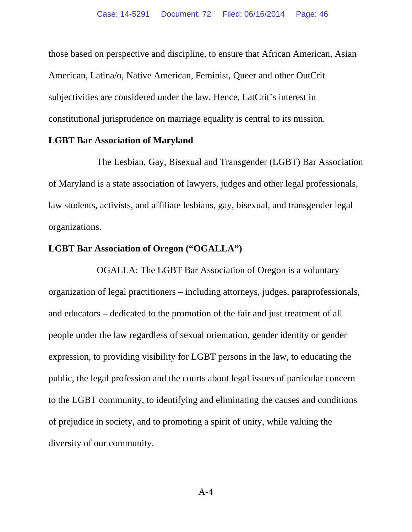those based on perspective and discipline, to ensure that African American, Asian American, Latina/o, Native American, Feminist, Queer and other OutCrit subjectivities are considered under the law. Hence, LatCrit's interest in constitutional jurisprudence on marriage equality is central to its mission.

#### **LGBT Bar Association of Maryland**

The Lesbian, Gay, Bisexual and Transgender (LGBT) Bar Association of Maryland is a state association of lawyers, judges and other legal professionals, law students, activists, and affiliate lesbians, gay, bisexual, and transgender legal organizations.

## **LGBT Bar Association of Oregon ("OGALLA")**

OGALLA: The LGBT Bar Association of Oregon is a voluntary organization of legal practitioners – including attorneys, judges, paraprofessionals, and educators – dedicated to the promotion of the fair and just treatment of all people under the law regardless of sexual orientation, gender identity or gender expression, to providing visibility for LGBT persons in the law, to educating the public, the legal profession and the courts about legal issues of particular concern to the LGBT community, to identifying and eliminating the causes and conditions of prejudice in society, and to promoting a spirit of unity, while valuing the diversity of our community.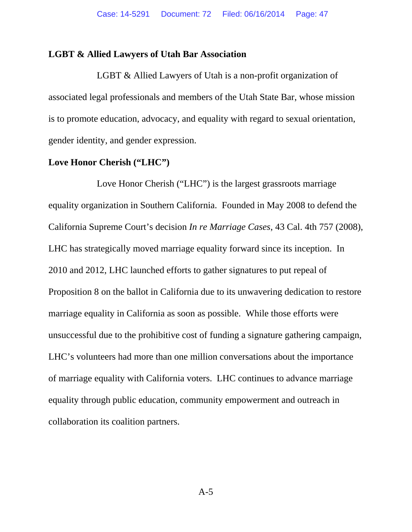#### **LGBT & Allied Lawyers of Utah Bar Association**

LGBT & Allied Lawyers of Utah is a non-profit organization of associated legal professionals and members of the Utah State Bar, whose mission is to promote education, advocacy, and equality with regard to sexual orientation, gender identity, and gender expression.

#### **Love Honor Cherish ("LHC")**

Love Honor Cherish ("LHC") is the largest grassroots marriage equality organization in Southern California. Founded in May 2008 to defend the California Supreme Court's decision *In re Marriage Cases*, 43 Cal. 4th 757 (2008), LHC has strategically moved marriage equality forward since its inception. In 2010 and 2012, LHC launched efforts to gather signatures to put repeal of Proposition 8 on the ballot in California due to its unwavering dedication to restore marriage equality in California as soon as possible. While those efforts were unsuccessful due to the prohibitive cost of funding a signature gathering campaign, LHC's volunteers had more than one million conversations about the importance of marriage equality with California voters. LHC continues to advance marriage equality through public education, community empowerment and outreach in collaboration its coalition partners.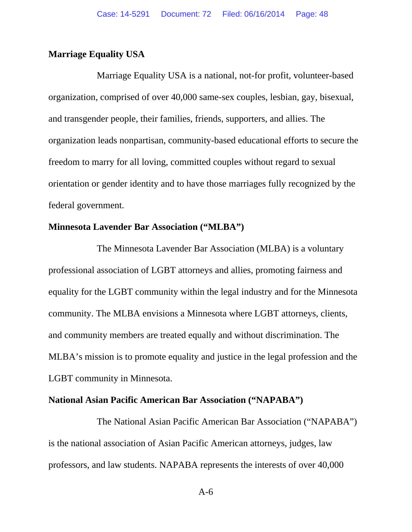### **Marriage Equality USA**

Marriage Equality USA is a national, not-for profit, volunteer-based organization, comprised of over 40,000 same-sex couples, lesbian, gay, bisexual, and transgender people, their families, friends, supporters, and allies. The organization leads nonpartisan, community-based educational efforts to secure the freedom to marry for all loving, committed couples without regard to sexual orientation or gender identity and to have those marriages fully recognized by the federal government.

#### **Minnesota Lavender Bar Association ("MLBA")**

The Minnesota Lavender Bar Association (MLBA) is a voluntary professional association of LGBT attorneys and allies, promoting fairness and equality for the LGBT community within the legal industry and for the Minnesota community. The MLBA envisions a Minnesota where LGBT attorneys, clients, and community members are treated equally and without discrimination. The MLBA's mission is to promote equality and justice in the legal profession and the LGBT community in Minnesota.

#### **National Asian Pacific American Bar Association ("NAPABA")**

The National Asian Pacific American Bar Association ("NAPABA") is the national association of Asian Pacific American attorneys, judges, law professors, and law students. NAPABA represents the interests of over 40,000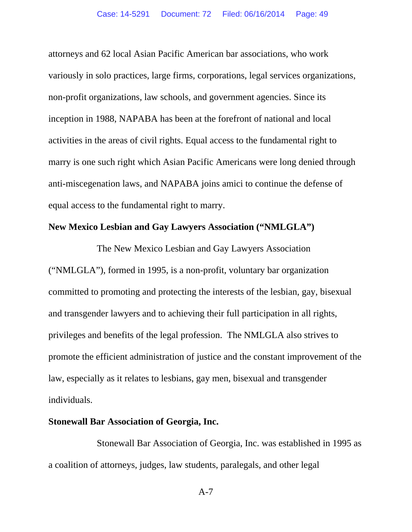attorneys and 62 local Asian Pacific American bar associations, who work variously in solo practices, large firms, corporations, legal services organizations, non-profit organizations, law schools, and government agencies. Since its inception in 1988, NAPABA has been at the forefront of national and local activities in the areas of civil rights. Equal access to the fundamental right to marry is one such right which Asian Pacific Americans were long denied through anti-miscegenation laws, and NAPABA joins amici to continue the defense of equal access to the fundamental right to marry.

## **New Mexico Lesbian and Gay Lawyers Association ("NMLGLA")**

The New Mexico Lesbian and Gay Lawyers Association ("NMLGLA"), formed in 1995, is a non-profit, voluntary bar organization committed to promoting and protecting the interests of the lesbian, gay, bisexual and transgender lawyers and to achieving their full participation in all rights, privileges and benefits of the legal profession. The NMLGLA also strives to promote the efficient administration of justice and the constant improvement of the law, especially as it relates to lesbians, gay men, bisexual and transgender individuals.

#### **Stonewall Bar Association of Georgia, Inc.**

Stonewall Bar Association of Georgia, Inc. was established in 1995 as a coalition of attorneys, judges, law students, paralegals, and other legal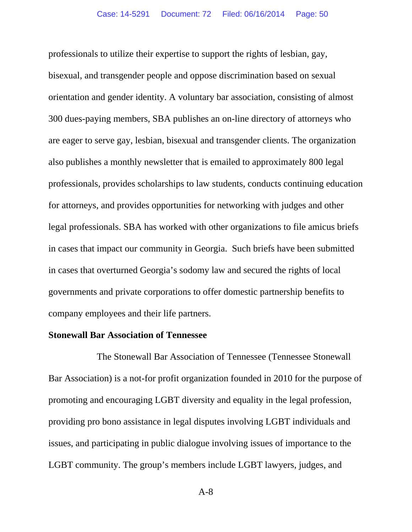professionals to utilize their expertise to support the rights of lesbian, gay, bisexual, and transgender people and oppose discrimination based on sexual orientation and gender identity. A voluntary bar association, consisting of almost 300 dues-paying members, SBA publishes an on-line directory of attorneys who are eager to serve gay, lesbian, bisexual and transgender clients. The organization also publishes a monthly newsletter that is emailed to approximately 800 legal professionals, provides scholarships to law students, conducts continuing education for attorneys, and provides opportunities for networking with judges and other legal professionals. SBA has worked with other organizations to file amicus briefs in cases that impact our community in Georgia. Such briefs have been submitted in cases that overturned Georgia's sodomy law and secured the rights of local governments and private corporations to offer domestic partnership benefits to company employees and their life partners.

#### **Stonewall Bar Association of Tennessee**

The Stonewall Bar Association of Tennessee (Tennessee Stonewall Bar Association) is a not-for profit organization founded in 2010 for the purpose of promoting and encouraging LGBT diversity and equality in the legal profession, providing pro bono assistance in legal disputes involving LGBT individuals and issues, and participating in public dialogue involving issues of importance to the LGBT community. The group's members include LGBT lawyers, judges, and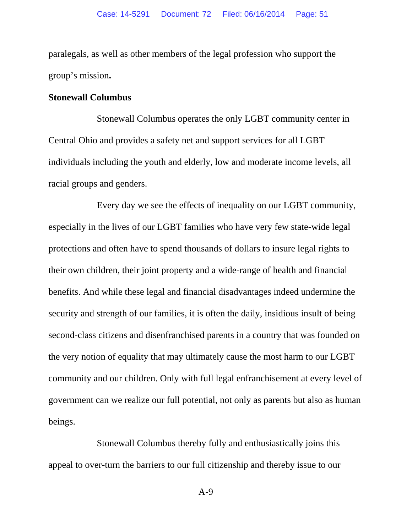paralegals, as well as other members of the legal profession who support the group's mission**.** 

#### **Stonewall Columbus**

Stonewall Columbus operates the only LGBT community center in Central Ohio and provides a safety net and support services for all LGBT individuals including the youth and elderly, low and moderate income levels, all racial groups and genders.

Every day we see the effects of inequality on our LGBT community, especially in the lives of our LGBT families who have very few state-wide legal protections and often have to spend thousands of dollars to insure legal rights to their own children, their joint property and a wide-range of health and financial benefits. And while these legal and financial disadvantages indeed undermine the security and strength of our families, it is often the daily, insidious insult of being second-class citizens and disenfranchised parents in a country that was founded on the very notion of equality that may ultimately cause the most harm to our LGBT community and our children. Only with full legal enfranchisement at every level of government can we realize our full potential, not only as parents but also as human beings.

Stonewall Columbus thereby fully and enthusiastically joins this appeal to over-turn the barriers to our full citizenship and thereby issue to our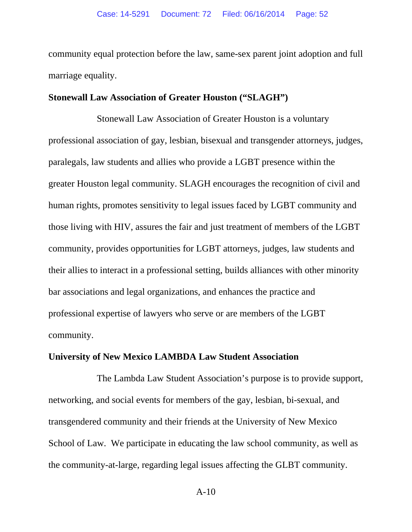community equal protection before the law, same-sex parent joint adoption and full marriage equality.

#### **Stonewall Law Association of Greater Houston ("SLAGH")**

Stonewall Law Association of Greater Houston is a voluntary professional association of gay, lesbian, bisexual and transgender attorneys, judges, paralegals, law students and allies who provide a LGBT presence within the greater Houston legal community. SLAGH encourages the recognition of civil and human rights, promotes sensitivity to legal issues faced by LGBT community and those living with HIV, assures the fair and just treatment of members of the LGBT community, provides opportunities for LGBT attorneys, judges, law students and their allies to interact in a professional setting, builds alliances with other minority bar associations and legal organizations, and enhances the practice and professional expertise of lawyers who serve or are members of the LGBT community.

#### **University of New Mexico LAMBDA Law Student Association**

The Lambda Law Student Association's purpose is to provide support, networking, and social events for members of the gay, lesbian, bi-sexual, and transgendered community and their friends at the University of New Mexico School of Law. We participate in educating the law school community, as well as the community-at-large, regarding legal issues affecting the GLBT community.